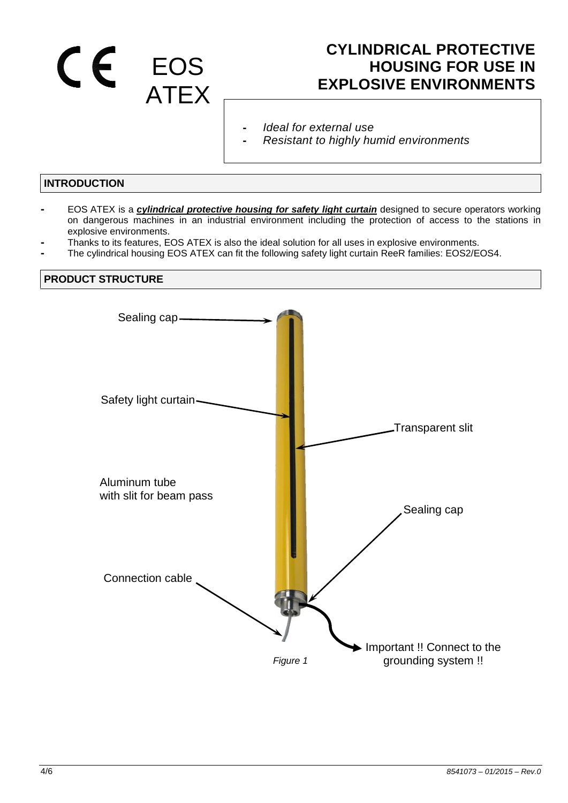# EOS ATEX

## **CYLINDRICAL PROTECTIVE HOUSING FOR USE IN EXPLOSIVE ENVIRONMENTS**

- **-** *Ideal for external use*
- **-** *Resistant to highly humid environments*

#### **INTRODUCTION**

- **-** EOS ATEX is a *cylindrical protective housing for safety light curtain* designed to secure operators working on dangerous machines in an industrial environment including the protection of access to the stations in explosive environments.
- **-** Thanks to its features, EOS ATEX is also the ideal solution for all uses in explosive environments.
- **-** The cylindrical housing EOS ATEX can fit the following safety light curtain ReeR families: EOS2/EOS4.

#### **PRODUCT STRUCTURE**

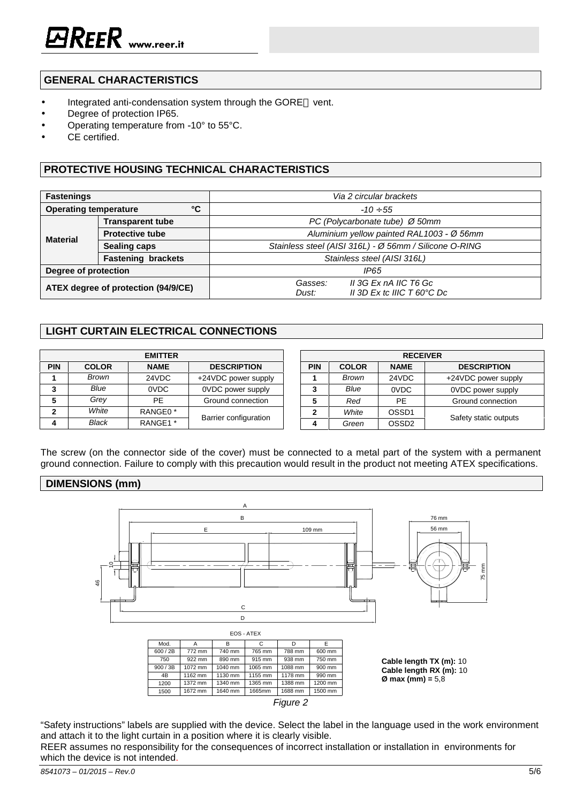#### **GENERAL CHARACTERISTICS**

- Integrated anti-condensation system through the GORE™ vent.
- Degree of protection IP65.
- Operating temperature from -10° to 55°C.
- CE certified.

#### **PROTECTIVE HOUSING TECHNICAL CHARACTERISTICS**

| <b>Fastenings</b>                   |                           | Via 2 circular brackets                                |  |
|-------------------------------------|---------------------------|--------------------------------------------------------|--|
| °C<br><b>Operating temperature</b>  |                           | $-100.55$                                              |  |
| <b>Material</b>                     | <b>Transparent tube</b>   | PC (Polycarbonate tube) Ø 50mm                         |  |
|                                     | <b>Protective tube</b>    | Aluminium yellow painted RAL1003 - Ø 56mm              |  |
|                                     | <b>Sealing caps</b>       | Stainless steel (AISI 316L) - Ø 56mm / Silicone O-RING |  |
|                                     | <b>Fastening brackets</b> | Stainless steel (AISI 316L)                            |  |
| Degree of protection                |                           | IP65                                                   |  |
| ATEX degree of protection (94/9/CE) |                           | II 3G Ex nA IIC T6 Gc<br>Gasses:                       |  |
|                                     |                           | II 3D Ex to IIIC $T$ 60 $^{\circ}$ C Dc<br>Dust:       |  |

### **LIGHT CURTAIN ELECTRICAL CONNECTIONS**

| <b>EMITTER</b> |              |                     |                          |  |  |
|----------------|--------------|---------------------|--------------------------|--|--|
| <b>PIN</b>     | <b>COLOR</b> | <b>NAME</b>         | <b>DESCRIPTION</b>       |  |  |
|                | Brown        | 24VDC               | +24VDC power supply      |  |  |
| 3              | Blue         | 0VDC                | <b>OVDC</b> power supply |  |  |
| 5              | Grey         | PF.                 | Ground connection        |  |  |
| 2              | White        | RANGE0 <sup>*</sup> |                          |  |  |
|                | Black        | RANGE1 <sup>*</sup> | Barrier configuration    |  |  |

| <b>RECEIVER</b> |              |                   |                       |  |  |  |
|-----------------|--------------|-------------------|-----------------------|--|--|--|
| <b>PIN</b>      | <b>COLOR</b> | <b>NAME</b>       | <b>DESCRIPTION</b>    |  |  |  |
|                 | Brown        | 24VDC             | +24VDC power supply   |  |  |  |
| 3               | Blue         | 0VDC              | 0VDC power supply     |  |  |  |
| 5               | Red          | PF                | Ground connection     |  |  |  |
| $\mathbf{2}$    | White        | OSSD <sub>1</sub> |                       |  |  |  |
|                 | Green        | OSSD2             | Safety static outputs |  |  |  |

The screw (on the connector side of the cover) must be connected to a metal part of the system with a permanent ground connection. Failure to comply with this precaution would result in the product not meeting ATEX specifications.

#### **DIMENSIONS (mm)**





"Safety instructions" labels are supplied with the device. Select the label in the language used in the work environment and attach it to the light curtain in a position where it is clearly visible.

REER assumes no responsibility for the consequences of incorrect installation or installation in environments for which the device is not intended.